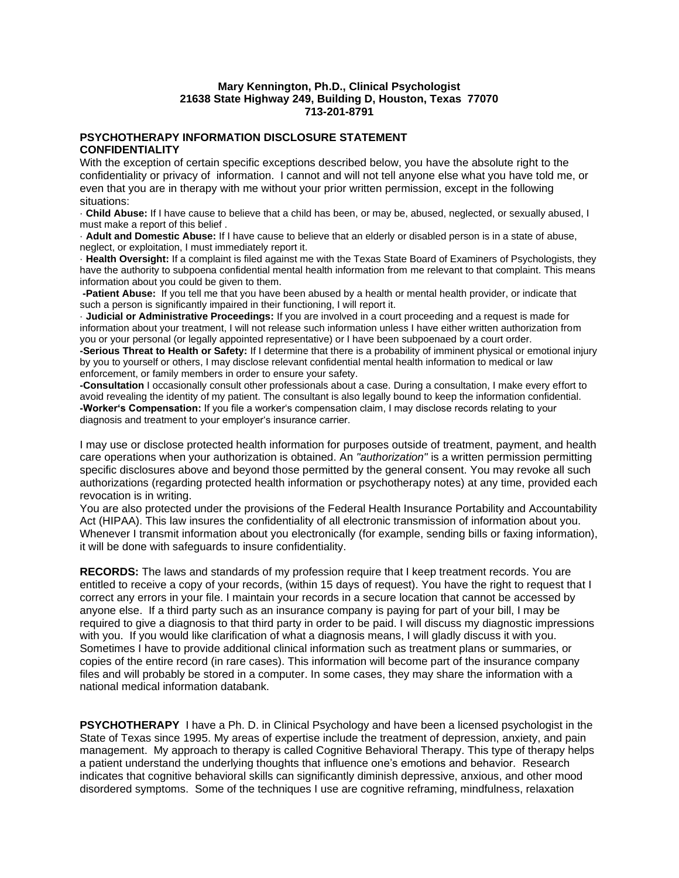## **Mary Kennington, Ph.D., Clinical Psychologist 21638 State Highway 249, Building D, Houston, Texas 77070 713-201-8791**

## **PSYCHOTHERAPY INFORMATION DISCLOSURE STATEMENT CONFIDENTIALITY**

With the exception of certain specific exceptions described below, you have the absolute right to the confidentiality or privacy of information. I cannot and will not tell anyone else what you have told me, or even that you are in therapy with me without your prior written permission, except in the following situations:

· **Child Abuse:** If I have cause to believe that a child has been, or may be, abused, neglected, or sexually abused, I must make a report of this belief .

· **Adult and Domestic Abuse:** If I have cause to believe that an elderly or disabled person is in a state of abuse, neglect, or exploitation, I must immediately report it.

· **Health Oversight:** If a complaint is filed against me with the Texas State Board of Examiners of Psychologists, they have the authority to subpoena confidential mental health information from me relevant to that complaint. This means information about you could be given to them.

**-Patient Abuse:** If you tell me that you have been abused by a health or mental health provider, or indicate that such a person is significantly impaired in their functioning, I will report it.

· **Judicial or Administrative Proceedings:** If you are involved in a court proceeding and a request is made for information about your treatment, I will not release such information unless I have either written authorization from you or your personal (or legally appointed representative) or I have been subpoenaed by a court order.

**-Serious Threat to Health or Safety:** If I determine that there is a probability of imminent physical or emotional injury by you to yourself or others, I may disclose relevant confidential mental health information to medical or law enforcement, or family members in order to ensure your safety.

**-Consultation** I occasionally consult other professionals about a case. During a consultation, I make every effort to avoid revealing the identity of my patient. The consultant is also legally bound to keep the information confidential. **-Worker's Compensation:** If you file a worker's compensation claim, I may disclose records relating to your diagnosis and treatment to your employer's insurance carrier.

I may use or disclose protected health information for purposes outside of treatment, payment, and health care operations when your authorization is obtained. An *"authorization"* is a written permission permitting specific disclosures above and beyond those permitted by the general consent. You may revoke all such authorizations (regarding protected health information or psychotherapy notes) at any time, provided each revocation is in writing.

You are also protected under the provisions of the Federal Health Insurance Portability and Accountability Act (HIPAA). This law insures the confidentiality of all electronic transmission of information about you. Whenever I transmit information about you electronically (for example, sending bills or faxing information), it will be done with safeguards to insure confidentiality.

**RECORDS:** The laws and standards of my profession require that I keep treatment records. You are entitled to receive a copy of your records, (within 15 days of request). You have the right to request that I correct any errors in your file. I maintain your records in a secure location that cannot be accessed by anyone else. If a third party such as an insurance company is paying for part of your bill, I may be required to give a diagnosis to that third party in order to be paid. I will discuss my diagnostic impressions with you. If you would like clarification of what a diagnosis means, I will gladly discuss it with you. Sometimes I have to provide additional clinical information such as treatment plans or summaries, or copies of the entire record (in rare cases). This information will become part of the insurance company files and will probably be stored in a computer. In some cases, they may share the information with a national medical information databank.

**PSYCHOTHERAPY** I have a Ph. D. in Clinical Psychology and have been a licensed psychologist in the State of Texas since 1995. My areas of expertise include the treatment of depression, anxiety, and pain management. My approach to therapy is called Cognitive Behavioral Therapy. This type of therapy helps a patient understand the underlying thoughts that influence one's emotions and behavior. Research indicates that cognitive behavioral skills can significantly diminish depressive, anxious, and other mood disordered symptoms. Some of the techniques I use are cognitive reframing, mindfulness, relaxation